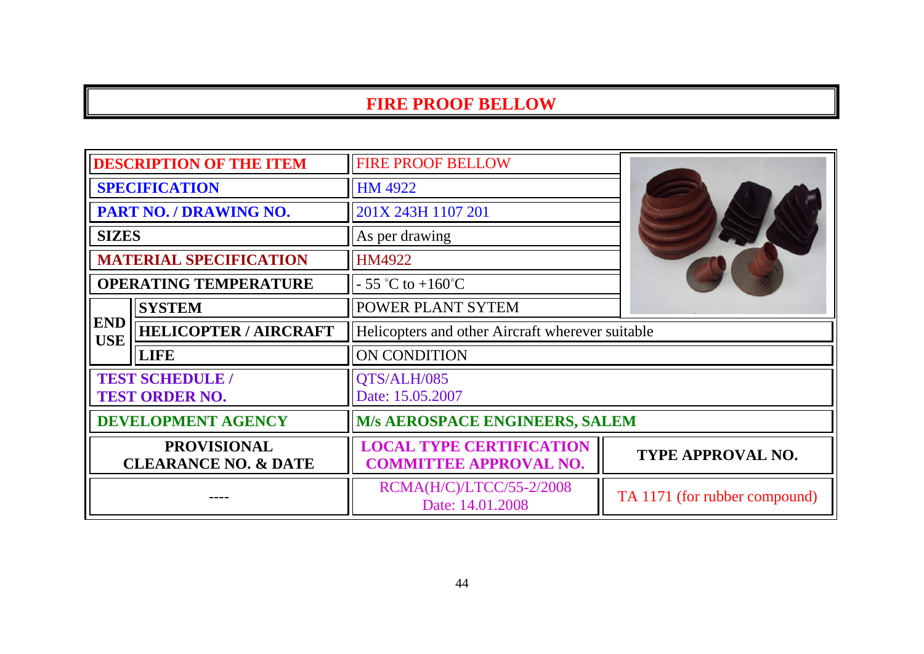| <b>DESCRIPTION OF THE ITEM</b>                                                                                                                            |                               | <b>FIRE PROOF BELLOW</b>                                         |                               |
|-----------------------------------------------------------------------------------------------------------------------------------------------------------|-------------------------------|------------------------------------------------------------------|-------------------------------|
| <b>SPECIFICATION</b>                                                                                                                                      |                               | HM 4922                                                          |                               |
| PART NO. / DRAWING NO.                                                                                                                                    |                               | 201X 243H 1107 201                                               |                               |
| <b>SIZES</b>                                                                                                                                              |                               | As per drawing                                                   |                               |
|                                                                                                                                                           | <b>MATERIAL SPECIFICATION</b> | <b>HM4922</b>                                                    |                               |
|                                                                                                                                                           | <b>OPERATING TEMPERATURE</b>  | $-55$ °C to $+160$ °C                                            |                               |
| <b>POWER PLANT SYTEM</b><br><b>SYSTEM</b><br><b>END</b><br><b>HELICOPTER / AIRCRAFT</b><br>Helicopters and other Aircraft wherever suitable<br><b>USE</b> |                               |                                                                  |                               |
|                                                                                                                                                           |                               |                                                                  |                               |
|                                                                                                                                                           | <b>LIFE</b>                   | ON CONDITION                                                     |                               |
| <b>TEST SCHEDULE /</b><br><b>TEST ORDER NO.</b>                                                                                                           |                               | QTS/ALH/085<br>Date: 15.05.2007                                  |                               |
| <b>DEVELOPMENT AGENCY</b>                                                                                                                                 |                               | <b>M/s AEROSPACE ENGINEERS, SALEM</b>                            |                               |
| <b>PROVISIONAL</b><br><b>CLEARANCE NO. &amp; DATE</b>                                                                                                     |                               | <b>LOCAL TYPE CERTIFICATION</b><br><b>COMMITTEE APPROVAL NO.</b> | TYPE APPROVAL NO.             |
|                                                                                                                                                           |                               | RCMA(H/C)/LTCC/55-2/2008<br>Date: 14.01.2008                     | TA 1171 (for rubber compound) |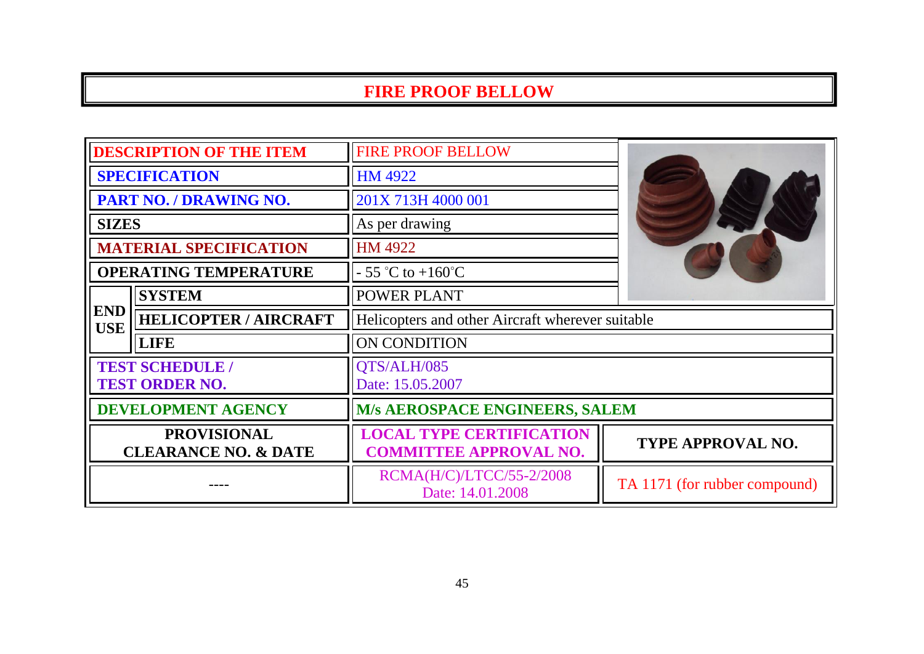| <b>DESCRIPTION OF THE ITEM</b>                        |                               | <b>FIRE PROOF BELLOW</b>                                         |                               |
|-------------------------------------------------------|-------------------------------|------------------------------------------------------------------|-------------------------------|
| <b>SPECIFICATION</b>                                  |                               | HM 4922                                                          |                               |
| PART NO. / DRAWING NO.                                |                               | 201X 713H 4000 001                                               |                               |
| <b>SIZES</b>                                          |                               | As per drawing                                                   |                               |
|                                                       | <b>MATERIAL SPECIFICATION</b> | HM 4922                                                          |                               |
|                                                       | <b>OPERATING TEMPERATURE</b>  | $-55$ °C to $+160$ °C                                            |                               |
|                                                       | <b>SYSTEM</b>                 | <b>POWER PLANT</b>                                               |                               |
| <b>END</b><br><b>USE</b>                              | <b>HELICOPTER / AIRCRAFT</b>  | Helicopters and other Aircraft wherever suitable                 |                               |
|                                                       | <b>LIFE</b>                   | ON CONDITION                                                     |                               |
| <b>TEST SCHEDULE /</b><br><b>TEST ORDER NO.</b>       |                               | QTS/ALH/085<br>Date: 15.05.2007                                  |                               |
| <b>DEVELOPMENT AGENCY</b>                             |                               | <b>M/s AEROSPACE ENGINEERS, SALEM</b>                            |                               |
| <b>PROVISIONAL</b><br><b>CLEARANCE NO. &amp; DATE</b> |                               | <b>LOCAL TYPE CERTIFICATION</b><br><b>COMMITTEE APPROVAL NO.</b> | <b>TYPE APPROVAL NO.</b>      |
|                                                       |                               | RCMA(H/C)/LTCC/55-2/2008<br>Date: 14.01.2008                     | TA 1171 (for rubber compound) |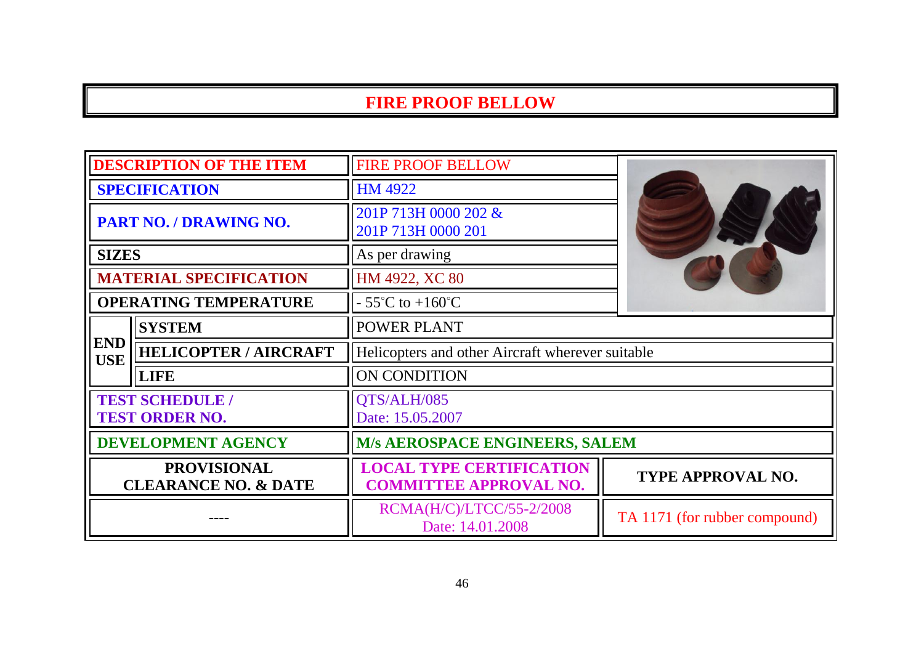| <b>DESCRIPTION OF THE ITEM</b>                        |                               | <b>FIRE PROOF BELLOW</b>                                         |                               |
|-------------------------------------------------------|-------------------------------|------------------------------------------------------------------|-------------------------------|
| <b>SPECIFICATION</b>                                  |                               | HM 4922                                                          |                               |
| PART NO. / DRAWING NO.                                |                               | 201P 713H 0000 202 &<br>201P 713H 0000 201                       |                               |
| <b>SIZES</b>                                          |                               | As per drawing                                                   |                               |
|                                                       | <b>MATERIAL SPECIFICATION</b> | HM 4922, XC 80                                                   |                               |
| <b>OPERATING TEMPERATURE</b>                          |                               | $-55^{\circ}$ C to $+160^{\circ}$ C                              |                               |
| <b>SYSTEM</b><br>POWER PLANT                          |                               |                                                                  |                               |
| <b>END</b><br><b>USE</b>                              | <b>HELICOPTER / AIRCRAFT</b>  | Helicopters and other Aircraft wherever suitable                 |                               |
|                                                       | <b>LIFE</b>                   | ON CONDITION                                                     |                               |
| <b>TEST SCHEDULE /</b><br><b>TEST ORDER NO.</b>       |                               | QTS/ALH/085<br>Date: 15.05.2007                                  |                               |
| <b>DEVELOPMENT AGENCY</b>                             |                               | M/s AEROSPACE ENGINEERS, SALEM                                   |                               |
| <b>PROVISIONAL</b><br><b>CLEARANCE NO. &amp; DATE</b> |                               | <b>LOCAL TYPE CERTIFICATION</b><br><b>COMMITTEE APPROVAL NO.</b> | TYPE APPROVAL NO.             |
|                                                       |                               | RCMA(H/C)/LTCC/55-2/2008<br>Date: 14.01.2008                     | TA 1171 (for rubber compound) |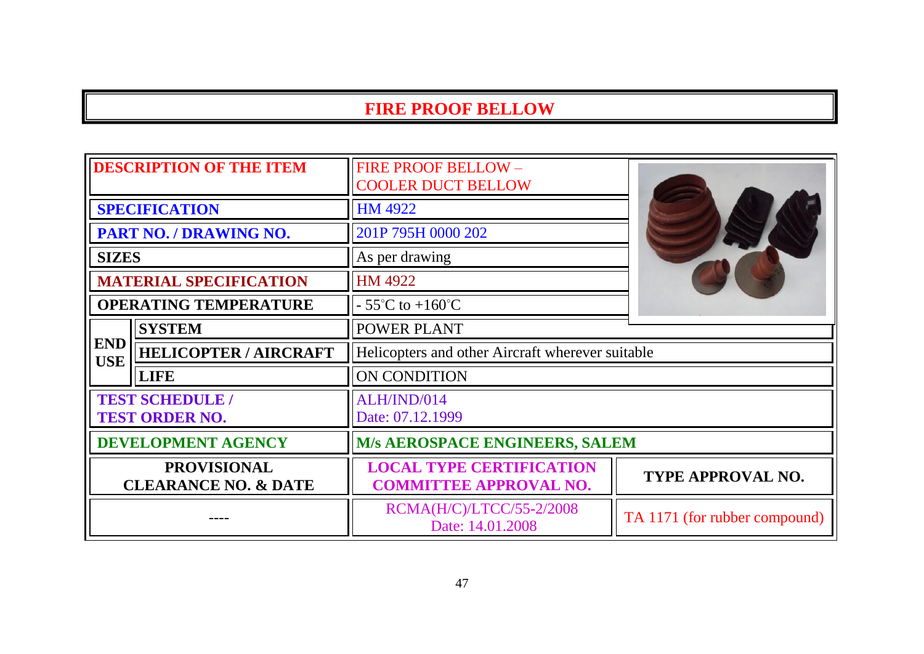| <b>DESCRIPTION OF THE ITEM</b>                        |                               | <b>FIRE PROOF BELLOW-</b><br><b>COOLER DUCT BELLOW</b>           |                               |
|-------------------------------------------------------|-------------------------------|------------------------------------------------------------------|-------------------------------|
|                                                       | <b>SPECIFICATION</b>          | HM 4922                                                          |                               |
|                                                       | PART NO. / DRAWING NO.        | 201P 795H 0000 202                                               |                               |
| <b>SIZES</b>                                          |                               | As per drawing                                                   |                               |
|                                                       | <b>MATERIAL SPECIFICATION</b> | HM 4922                                                          |                               |
| <b>OPERATING TEMPERATURE</b>                          |                               | $-55^{\circ}$ C to $+160^{\circ}$ C                              |                               |
|                                                       | <b>SYSTEM</b>                 | <b>POWER PLANT</b>                                               |                               |
| <b>END</b><br><b>USE</b>                              | <b>HELICOPTER / AIRCRAFT</b>  | Helicopters and other Aircraft wherever suitable                 |                               |
|                                                       | <b>LIFE</b>                   | ON CONDITION                                                     |                               |
| <b>TEST SCHEDULE /</b><br><b>TEST ORDER NO.</b>       |                               | ALH/IND/014<br>Date: 07.12.1999                                  |                               |
| <b>DEVELOPMENT AGENCY</b>                             |                               | <b>M/s AEROSPACE ENGINEERS, SALEM</b>                            |                               |
| <b>PROVISIONAL</b><br><b>CLEARANCE NO. &amp; DATE</b> |                               | <b>LOCAL TYPE CERTIFICATION</b><br><b>COMMITTEE APPROVAL NO.</b> | <b>TYPE APPROVAL NO.</b>      |
|                                                       |                               | RCMA(H/C)/LTCC/55-2/2008<br>Date: 14.01.2008                     | TA 1171 (for rubber compound) |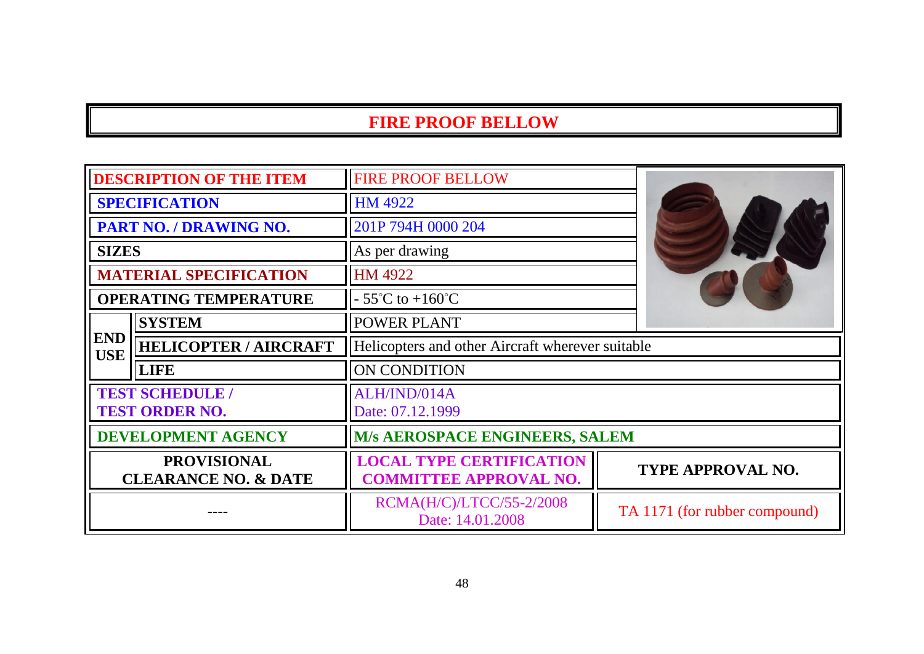| <b>DESCRIPTION OF THE ITEM</b>                        |                              | <b>FIRE PROOF BELLOW</b>                                         |                               |
|-------------------------------------------------------|------------------------------|------------------------------------------------------------------|-------------------------------|
| <b>SPECIFICATION</b>                                  |                              | <b>HM 4922</b>                                                   |                               |
| PART NO. / DRAWING NO.                                |                              | 201P 794H 0000 204                                               |                               |
| <b>SIZES</b>                                          |                              | As per drawing                                                   |                               |
| <b>MATERIAL SPECIFICATION</b>                         |                              | HM 4922                                                          |                               |
|                                                       | <b>OPERATING TEMPERATURE</b> | $-55^{\circ}$ C to $+160^{\circ}$ C                              |                               |
|                                                       | <b>SYSTEM</b>                | POWER PLANT<br>Helicopters and other Aircraft wherever suitable  |                               |
| <b>END</b><br><b>USE</b>                              | <b>HELICOPTER / AIRCRAFT</b> |                                                                  |                               |
|                                                       | <b>LIFE</b>                  | ON CONDITION                                                     |                               |
| <b>TEST SCHEDULE /</b><br><b>TEST ORDER NO.</b>       |                              | ALH/IND/014A<br>Date: 07.12.1999                                 |                               |
| <b>DEVELOPMENT AGENCY</b>                             |                              | M/s AEROSPACE ENGINEERS, SALEM                                   |                               |
| <b>PROVISIONAL</b><br><b>CLEARANCE NO. &amp; DATE</b> |                              | <b>LOCAL TYPE CERTIFICATION</b><br><b>COMMITTEE APPROVAL NO.</b> | TYPE APPROVAL NO.             |
|                                                       |                              | RCMA(H/C)/LTCC/55-2/2008<br>Date: 14.01.2008                     | TA 1171 (for rubber compound) |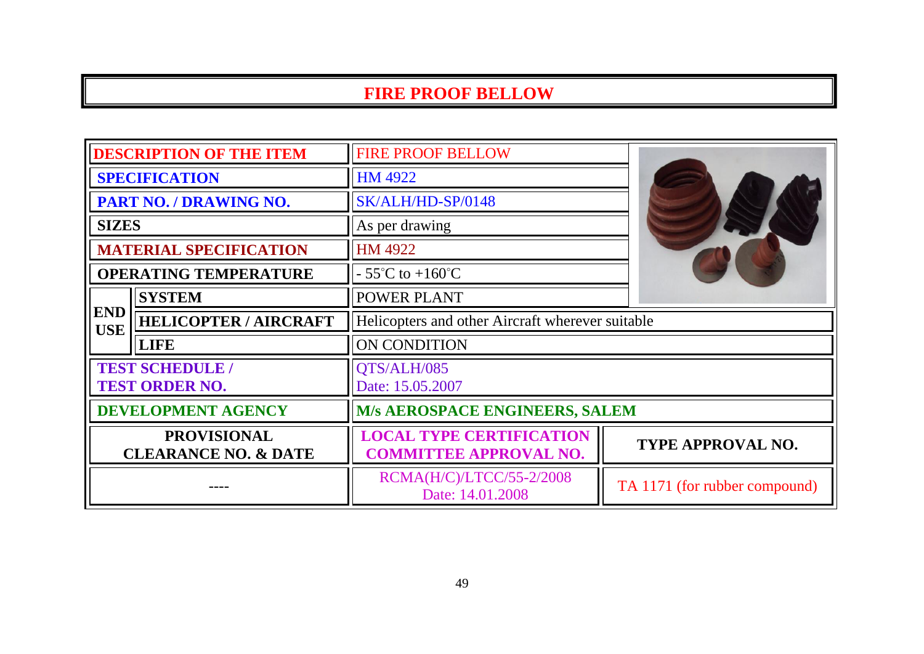| <b>DESCRIPTION OF THE ITEM</b>                        |                               | <b>FIRE PROOF BELLOW</b>                                         |                               |
|-------------------------------------------------------|-------------------------------|------------------------------------------------------------------|-------------------------------|
| <b>SPECIFICATION</b>                                  |                               | <b>HM 4922</b>                                                   |                               |
|                                                       | PART NO. / DRAWING NO.        | SK/ALH/HD-SP/0148                                                |                               |
| <b>SIZES</b>                                          |                               | As per drawing                                                   |                               |
|                                                       | <b>MATERIAL SPECIFICATION</b> | HM 4922                                                          |                               |
|                                                       | <b>OPERATING TEMPERATURE</b>  | $-55^{\circ}$ C to $+160^{\circ}$ C                              |                               |
|                                                       | <b>SYSTEM</b>                 | POWER PLANT                                                      |                               |
| <b>END</b><br><b>USE</b>                              | <b>HELICOPTER / AIRCRAFT</b>  | Helicopters and other Aircraft wherever suitable                 |                               |
|                                                       | <b>LIFE</b>                   | ON CONDITION                                                     |                               |
| <b>TEST SCHEDULE /</b><br><b>TEST ORDER NO.</b>       |                               | <b>OTS/ALH/085</b><br>Date: 15.05.2007                           |                               |
| <b>DEVELOPMENT AGENCY</b>                             |                               | <b>M/s AEROSPACE ENGINEERS, SALEM</b>                            |                               |
| <b>PROVISIONAL</b><br><b>CLEARANCE NO. &amp; DATE</b> |                               | <b>LOCAL TYPE CERTIFICATION</b><br><b>COMMITTEE APPROVAL NO.</b> | TYPE APPROVAL NO.             |
|                                                       |                               | RCMA(H/C)/LTCC/55-2/2008<br>Date: 14.01.2008                     | TA 1171 (for rubber compound) |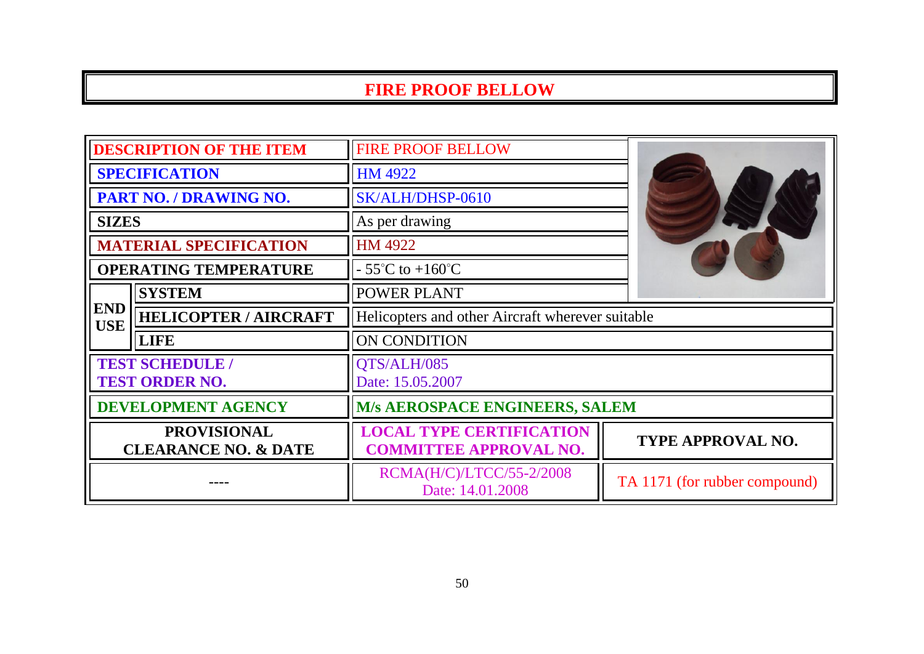| <b>DESCRIPTION OF THE ITEM</b>                        |                                                                                                | <b>FIRE PROOF BELLOW</b>                                         |                               |
|-------------------------------------------------------|------------------------------------------------------------------------------------------------|------------------------------------------------------------------|-------------------------------|
| <b>SPECIFICATION</b>                                  |                                                                                                | <b>HM 4922</b>                                                   |                               |
| PART NO. / DRAWING NO.                                |                                                                                                | SK/ALH/DHSP-0610                                                 |                               |
| <b>SIZES</b>                                          |                                                                                                | As per drawing                                                   |                               |
|                                                       | <b>MATERIAL SPECIFICATION</b>                                                                  | HM 4922                                                          |                               |
|                                                       | <b>OPERATING TEMPERATURE</b>                                                                   | $-55^{\circ}$ C to $+160^{\circ}$ C                              |                               |
|                                                       | <b>SYSTEM</b>                                                                                  | <b>POWER PLANT</b>                                               |                               |
| <b>USE</b>                                            | <b>END</b><br><b>HELICOPTER / AIRCRAFT</b><br>Helicopters and other Aircraft wherever suitable |                                                                  |                               |
|                                                       | <b>LIFE</b>                                                                                    | ON CONDITION                                                     |                               |
| <b>TEST SCHEDULE /</b><br><b>TEST ORDER NO.</b>       |                                                                                                | QTS/ALH/085<br>Date: 15.05.2007                                  |                               |
| <b>DEVELOPMENT AGENCY</b>                             |                                                                                                | M/s AEROSPACE ENGINEERS, SALEM                                   |                               |
| <b>PROVISIONAL</b><br><b>CLEARANCE NO. &amp; DATE</b> |                                                                                                | <b>LOCAL TYPE CERTIFICATION</b><br><b>COMMITTEE APPROVAL NO.</b> | TYPE APPROVAL NO.             |
|                                                       |                                                                                                | RCMA(H/C)/LTCC/55-2/2008<br>Date: 14.01.2008                     | TA 1171 (for rubber compound) |